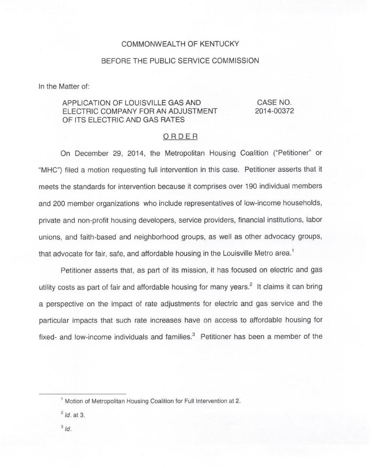## COMMONWEALTH OF KENTUCKY

## BEFORE THE PUBLIC SERVICE COMMISSION

In the Matter of:

## APPLICATION OF LOUISVILLE GAS AND ELECTRIC COMPANY FOR AN ADJUSTMENT OF ITS ELECTRIC AND GAS RATES

CASE NO. 2014-00372

## ORDER

On December 29, 2014, the Metropolitan Housing Coalition ("Petitioner" or "MHC") filed a motion requesting full intervention in this case. Petitioner asserts that it meets the standards for intervention because it comprises over 190 individual members and 200 member organizations who include representatives of low-income households, private and non-profit housing developers, service providers, financial institutions, labor unions, and faith-based and neighborhood groups, as well as other advocacy groups, that advocate for fair, safe, and affordable housing in the Louisville Metro area.<sup>1</sup>

asserts that, as part of its mission, it has focused on electric and gas utility costs as part of fair and affordable housing for many years.<sup>2</sup> It claims it can bring a perspective on the impact of rate adjustments for electric and gas service and the particular impacts that such rate increases have on access to affordable housing for fixed- and low-income individuals and families. $3$  Petitioner has been a member of the

<sup>&</sup>lt;sup>1</sup> Motion of Metropolitan Housing Coalition for Full Intervention at 2.

 $<sup>2</sup>$  Id. at 3.</sup>

 $3/d.$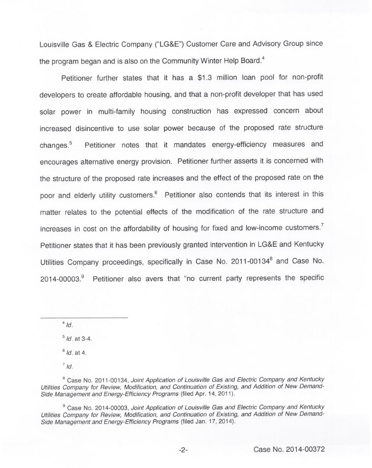Louisville Gas & Electric Company ("LG&E") Customer Care and Advisory Group since the program began and is also on the Community Winter Help Board.<sup>4</sup>

Petitioner further states that it has a \$1.3 million loan pool for non-profit developers to create affordable housing, and that a non-profit developer that has used solar power in multi-family housing construction has expressed concern about increased disincentive to use solar power because of the proposed rate structure changes.<sup>5</sup> Petitioner notes that it mandates energy-efficiency measures and encourages alternative energy provision. Petitioner further asserts it is concerned with the structure of the proposed rate increases and the effect of the proposed rate on the poor and elderly utility customers.<sup>6</sup> Petitioner also contends that its interest in this matter relates to the potential effects of the modification of the rate structure and increases in cost on the affordability of housing for fixed and low-income customers.<sup>7</sup> Petitioner states that it has been previously granted intervention in LG&E and Kentucky Utilities Company proceedings, specifically in Case No. 2011-00134<sup>8</sup> and Case No.  $2014-00003<sup>9</sup>$  Petitioner also avers that "no current party represents the specific

 $4/d$ .

 $5$  Id. at 3-4.

 $6$  Id. at 4.

 $^7$  Id.

<sup>8</sup> Case No. 2011-00134, Joint Application of Louisville Gas and Electric Company and Kentucky Utilities Company for Review, Modification, and Continuation of Existing, and Addition of New Demand-Side Management and Energy-Efficiency Programs (filed Apr. 14, 2011).

<sup>9</sup> Case No. 2014-00003, Joint Application of Louisville Gas and Electric Company and Kentucky Utilities Company for Review, Modification, and Continuation of Existing, and Addition of New Demand-Side Management and Energy-Efficiency Programs (filed Jan. 17, 2014).

 $-2-$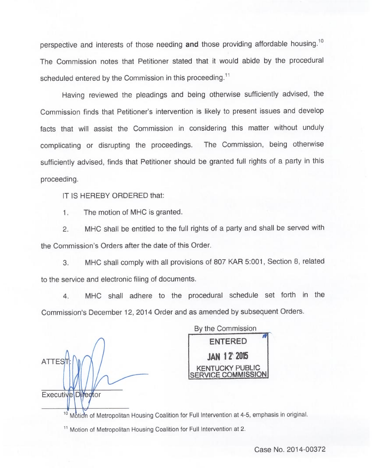perspective and interests of those needing and those providing affordable housing.<sup>10</sup> The Commission notes that Petitioner stated that it would abide by the procedural scheduled entered by the Commission in this proceeding.<sup>11</sup>

Having reviewed the pleadings and being otherwise sufficiently advised, the Commission finds that Petitioner's intervention is likely to present issues and develop facts that will assist the Commission in considering this matter without unduly complicating or disrupting the proceedings. The Commission, being otherwise sufficiently advised, finds that Petitioner should be granted full rights of a party in this proceeding.

IT IS HEREBY ORDERED that:

1. The motion of MHC is granted.

2. MHC shall be entitled to the full rights of a party and shall be served with the Commission's Orders after the date of this Order.

3. MHC shall comply with all provisions of 807 KAR 5:001, Section 8, related to the service and electronic filing of documents.

4. MHC shall adhere to the procedural schedule set forth in the Commission's December 12, 2014 Order and as amended by subsequent Orders.

**ATTES** Executive Director

By the Commission ENTERED **JAN 12' 2015** CKY PUBLIC SERVICE COMMISSION

**INCOLLETTE TEAM**<br><sup>10</sup> Motion of Metropolitan Housing Coalition for Full Intervention at 4-5, emphasis in origina

<sup>11</sup> Motion of Metropolitan Housing Coalition for Full Intervention at 2.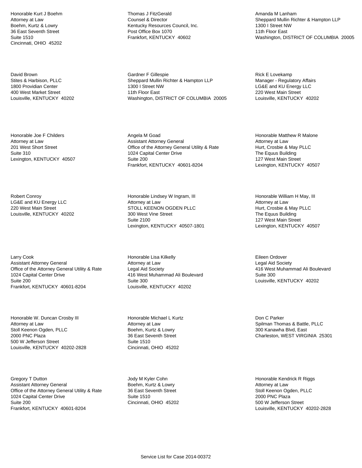Honorable Kurt J Boehm Attorney at Law Boehm, Kurtz & Lowry 36 East Seventh Street Suite 1510 Cincinnati, OHIO 45202

David Brown Stites & Harbison, PLLC 1800 Providian Center 400 West Market Street Louisville, KENTUCKY 40202

Honorable Joe F Childers Attorney at Law 201 West Short Street Suite 310 Lexington, KENTUCKY 40507

Robert Conroy LG&E and KU Energy LLC 220 West Main Street Louisville, KENTUCKY 40202

Larry Cook Assistant Attorney General Office of the Attorney General Utility & Rate 1024 Capital Center Drive Suite 200 Frankfort, KENTUCKY 40601-8204

Honorable W. Duncan Crosby III Attorney at Law Stoll Keenon Ogden, PLLC 2000 PNC Plaza 500 W Jefferson Street Louisville, KENTUCKY 40202-2828

Gregory T Dutton Assistant Attorney General Office of the Attorney General Utility & Rate 1024 Capital Center Drive Suite 200 Frankfort, KENTUCKY 40601-8204

Thomas J FitzGerald Counsel & Director Kentucky Resources Council, Inc. Post Office Box 1070 Frankfort, KENTUCKY 40602

Gardner F Gillespie Sheppard Mullin Richter & Hampton LLP 1300 I Street NW 11th Floor East Washington, DISTRICT OF COLUMBIA 20005

Angela M Goad Assistant Attorney General Office of the Attorney General Utility & Rate 1024 Capital Center Drive Suite 200 Frankfort, KENTUCKY 40601-8204

Honorable Lindsey W Ingram, III Attorney at Law STOLL KEENON OGDEN PLLC 300 West Vine Street Suite 2100 Lexington, KENTUCKY 40507-1801

Honorable Lisa Kilkelly Attorney at Law Legal Aid Society 416 West Muhammad Ali Boulevard Suite 300 Louisville, KENTUCKY 40202

Honorable Michael L Kurtz Attorney at Law Boehm, Kurtz & Lowry 36 East Seventh Street Suite 1510 Cincinnati, OHIO 45202

Jody M Kyler Cohn Boehm, Kurtz & Lowry 36 East Seventh Street Suite 1510 Cincinnati, OHIO 45202

Amanda M Lanham Sheppard Mullin Richter & Hampton LLP 1300 I Street NW 11th Floor East Washington, DISTRICT OF COLUMBIA 20005

Rick E Lovekamp Manager - Regulatory Affairs LG&E and KU Energy LLC 220 West Main Street Louisville, KENTUCKY 40202

Honorable Matthew R Malone Attorney at Law Hurt, Crosbie & May PLLC The Equus Building 127 West Main Street Lexington, KENTUCKY 40507

Honorable William H May, III Attorney at Law Hurt, Crosbie & May PLLC The Equus Building 127 West Main Street Lexington, KENTUCKY 40507

Eileen Ordover Legal Aid Society 416 West Muhammad Ali Boulevard Suite 300 Louisville, KENTUCKY 40202

Don C Parker Spilman Thomas & Battle, PLLC 300 Kanawha Blvd, East Charleston, WEST VIRGINIA 25301

Honorable Kendrick R Riggs Attorney at Law Stoll Keenon Ogden, PLLC 2000 PNC Plaza 500 W Jefferson Street Louisville, KENTUCKY 40202-2828